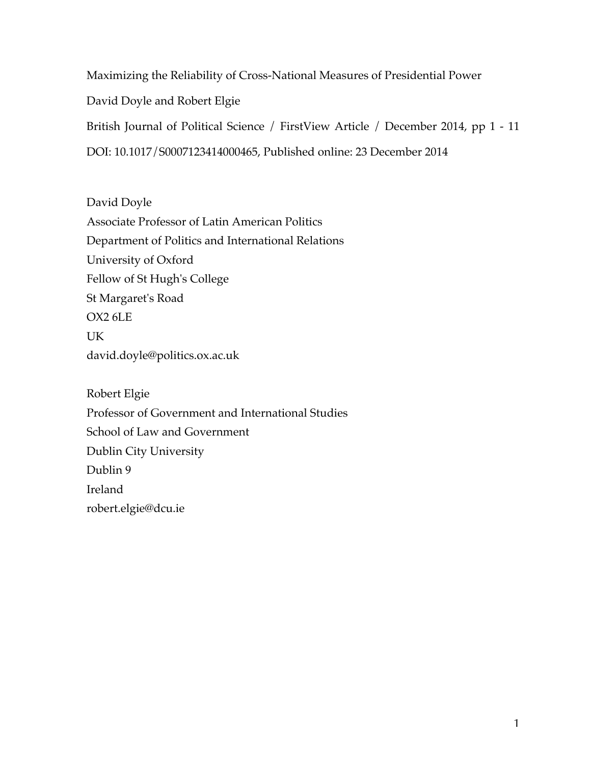Maximizing the Reliability of Cross-National Measures of Presidential Power David Doyle and Robert Elgie British Journal of Political Science / FirstView Article / December 2014, pp 1 - 11 DOI: 10.1017/S0007123414000465, Published online: 23 December 2014

David Doyle Associate Professor of Latin American Politics Department of Politics and International Relations University of Oxford Fellow of St Hugh's College St Margaret's Road OX2 6LE UK david.doyle@politics.ox.ac.uk

Robert Elgie Professor of Government and International Studies School of Law and Government Dublin City University Dublin 9 Ireland robert.elgie@dcu.ie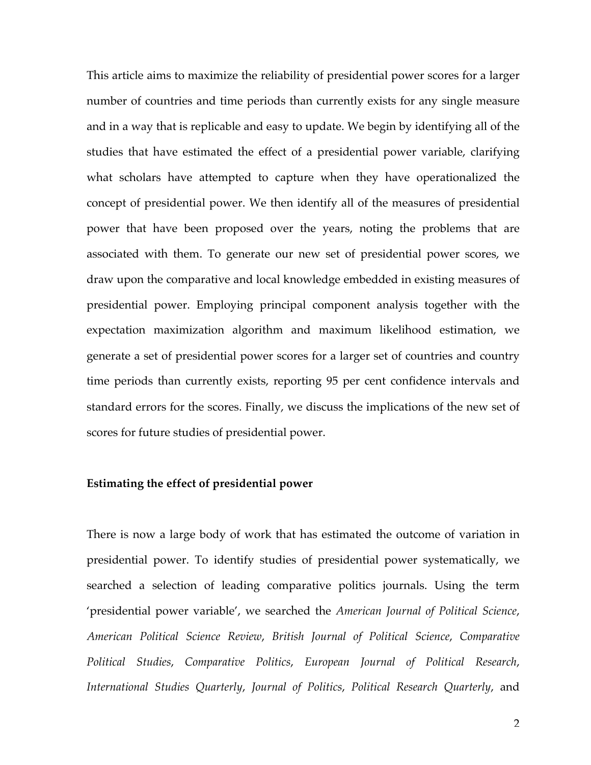This article aims to maximize the reliability of presidential power scores for a larger number of countries and time periods than currently exists for any single measure and in a way that is replicable and easy to update. We begin by identifying all of the studies that have estimated the effect of a presidential power variable, clarifying what scholars have attempted to capture when they have operationalized the concept of presidential power. We then identify all of the measures of presidential power that have been proposed over the years, noting the problems that are associated with them. To generate our new set of presidential power scores, we draw upon the comparative and local knowledge embedded in existing measures of presidential power. Employing principal component analysis together with the expectation maximization algorithm and maximum likelihood estimation, we generate a set of presidential power scores for a larger set of countries and country time periods than currently exists, reporting 95 per cent confidence intervals and standard errors for the scores. Finally, we discuss the implications of the new set of scores for future studies of presidential power.

#### **Estimating the effect of presidential power**

There is now a large body of work that has estimated the outcome of variation in presidential power. To identify studies of presidential power systematically, we searched a selection of leading comparative politics journals. Using the term 'presidential power variable', we searched the *American Journal of Political Science*, *American Political Science Review*, *British Journal of Political Science*, *Comparative Political Studies*, *Comparative Politics*, *European Journal of Political Research*, *International Studies Quarterly*, *Journal of Politics*, *Political Research Quarterly*, and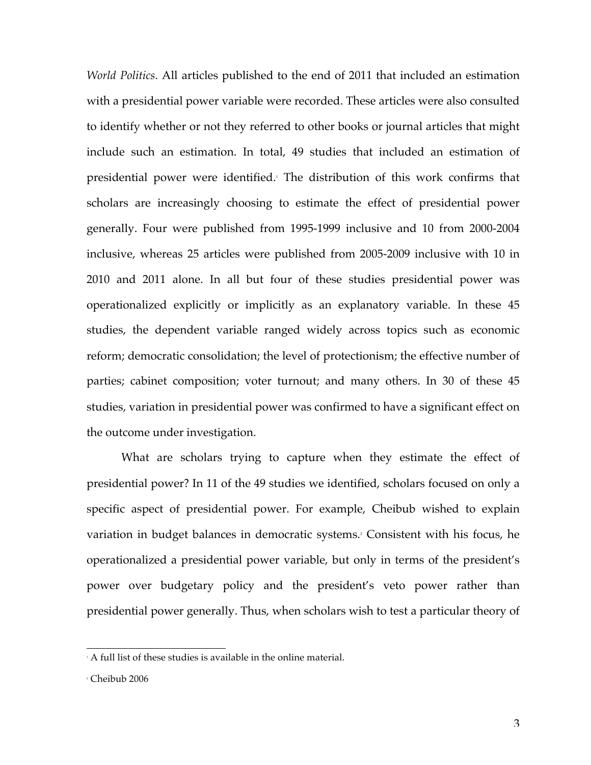*World Politics*. All articles published to the end of 2011 that included an estimation with a presidential power variable were recorded. These articles were also consulted to identify whether or not they referred to other books or journal articles that might include such an estimation. In total, 49 studies that included an estimation of presidential power were identified. <sup>1</sup> The distribution of this work confirms that scholars are increasingly choosing to estimate the effect of presidential power generally. Four were published from 1995-1999 inclusive and 10 from 2000-2004 inclusive, whereas 25 articles were published from 2005-2009 inclusive with 10 in 2010 and 2011 alone. In all but four of these studies presidential power was operationalized explicitly or implicitly as an explanatory variable. In these 45 studies, the dependent variable ranged widely across topics such as economic reform; democratic consolidation; the level of protectionism; the effective number of parties; cabinet composition; voter turnout; and many others. In 30 of these 45 studies, variation in presidential power was confirmed to have a significant effect on the outcome under investigation.

What are scholars trying to capture when they estimate the effect of presidential power? In 11 of the 49 studies we identified, scholars focused on only a specific aspect of presidential power. For example, Cheibub wished to explain variation in budget balances in democratic systems. <sup>2</sup> Consistent with his focus, he operationalized a presidential power variable, but only in terms of the president's power over budgetary policy and the president's veto power rather than presidential power generally. Thus, when scholars wish to test a particular theory of

 $\Delta$  full list of these studies is available in the online material.

<sup>2</sup> Cheibub 2006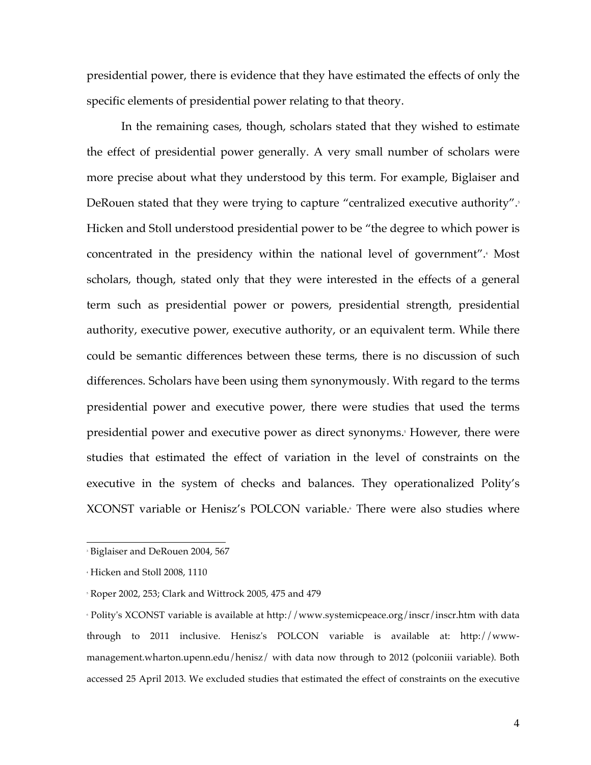presidential power, there is evidence that they have estimated the effects of only the specific elements of presidential power relating to that theory.

In the remaining cases, though, scholars stated that they wished to estimate the effect of presidential power generally. A very small number of scholars were more precise about what they understood by this term. For example, Biglaiser and DeRouen stated that they were trying to capture "centralized executive authority". 3 Hicken and Stoll understood presidential power to be "the degree to which power is concentrated in the presidency within the national level of government". <sup>4</sup> Most scholars, though, stated only that they were interested in the effects of a general term such as presidential power or powers, presidential strength, presidential authority, executive power, executive authority, or an equivalent term. While there could be semantic differences between these terms, there is no discussion of such differences. Scholars have been using them synonymously. With regard to the terms presidential power and executive power, there were studies that used the terms presidential power and executive power as direct synonyms.<sup>5</sup> However, there were studies that estimated the effect of variation in the level of constraints on the executive in the system of checks and balances. They operationalized Polity's XCONST variable or Henisz's POLCON variable. <sup>6</sup> There were also studies where

 <sup>3</sup> Biglaiser and DeRouen 2004, 567

<sup>4</sup> Hicken and Stoll 2008, 1110

<sup>5</sup> Roper 2002, 253; Clark and Wittrock 2005, 475 and 479

<sup>6</sup> Polity's XCONST variable is available at http://www.systemicpeace.org/inscr/inscr.htm with data through to 2011 inclusive. Henisz's POLCON variable is available at: http://wwwmanagement.wharton.upenn.edu/henisz/ with data now through to 2012 (polconiii variable). Both accessed 25 April 2013. We excluded studies that estimated the effect of constraints on the executive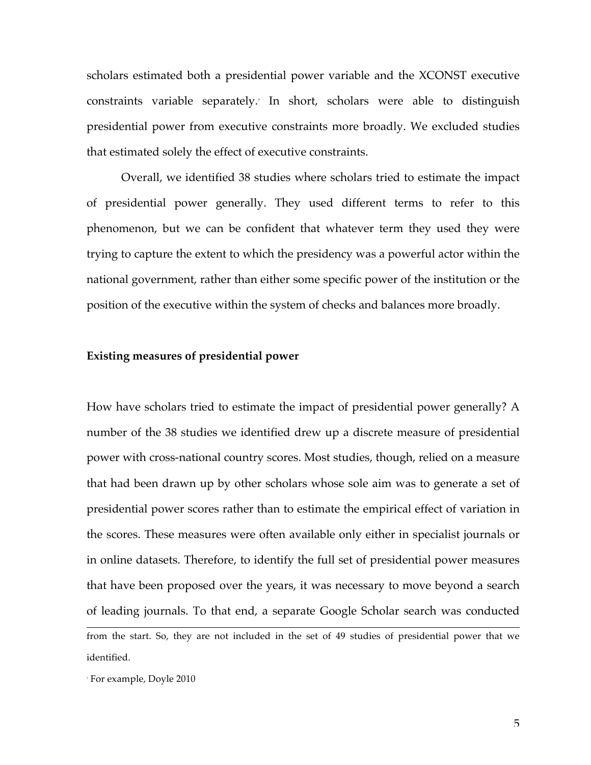scholars estimated both a presidential power variable and the XCONST executive constraints variable separately. <sup>7</sup> In short, scholars were able to distinguish presidential power from executive constraints more broadly. We excluded studies that estimated solely the effect of executive constraints.

Overall, we identified 38 studies where scholars tried to estimate the impact of presidential power generally. They used different terms to refer to this phenomenon, but we can be confident that whatever term they used they were trying to capture the extent to which the presidency was a powerful actor within the national government, rather than either some specific power of the institution or the position of the executive within the system of checks and balances more broadly.

## **Existing measures of presidential power**

How have scholars tried to estimate the impact of presidential power generally? A number of the 38 studies we identified drew up a discrete measure of presidential power with cross-national country scores. Most studies, though, relied on a measure that had been drawn up by other scholars whose sole aim was to generate a set of presidential power scores rather than to estimate the empirical effect of variation in the scores. These measures were often available only either in specialist journals or in online datasets. Therefore, to identify the full set of presidential power measures that have been proposed over the years, it was necessary to move beyond a search of leading journals. To that end, a separate Google Scholar search was conducted

 from the start. So, they are not included in the set of 49 studies of presidential power that we identified.

<sup>7</sup> For example, Doyle 2010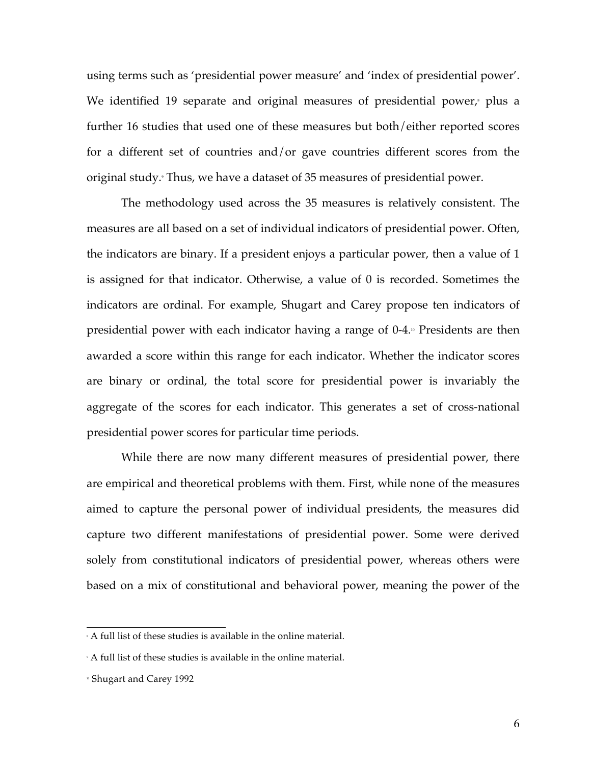using terms such as 'presidential power measure' and 'index of presidential power'. We identified 19 separate and original measures of presidential power,<sup>8</sup> plus a further 16 studies that used one of these measures but both/either reported scores for a different set of countries and/or gave countries different scores from the original study. <sup>9</sup> Thus, we have a dataset of 35 measures of presidential power.

The methodology used across the 35 measures is relatively consistent. The measures are all based on a set of individual indicators of presidential power. Often, the indicators are binary. If a president enjoys a particular power, then a value of 1 is assigned for that indicator. Otherwise, a value of 0 is recorded. Sometimes the indicators are ordinal. For example, Shugart and Carey propose ten indicators of presidential power with each indicator having a range of 0-4. <sup>10</sup> Presidents are then awarded a score within this range for each indicator. Whether the indicator scores are binary or ordinal, the total score for presidential power is invariably the aggregate of the scores for each indicator. This generates a set of cross-national presidential power scores for particular time periods.

While there are now many different measures of presidential power, there are empirical and theoretical problems with them. First, while none of the measures aimed to capture the personal power of individual presidents, the measures did capture two different manifestations of presidential power. Some were derived solely from constitutional indicators of presidential power, whereas others were based on a mix of constitutional and behavioral power, meaning the power of the

 <sup>8</sup> A full list of these studies is available in the online material.

<sup>9</sup> A full list of these studies is available in the online material.

<sup>10</sup> Shugart and Carey 1992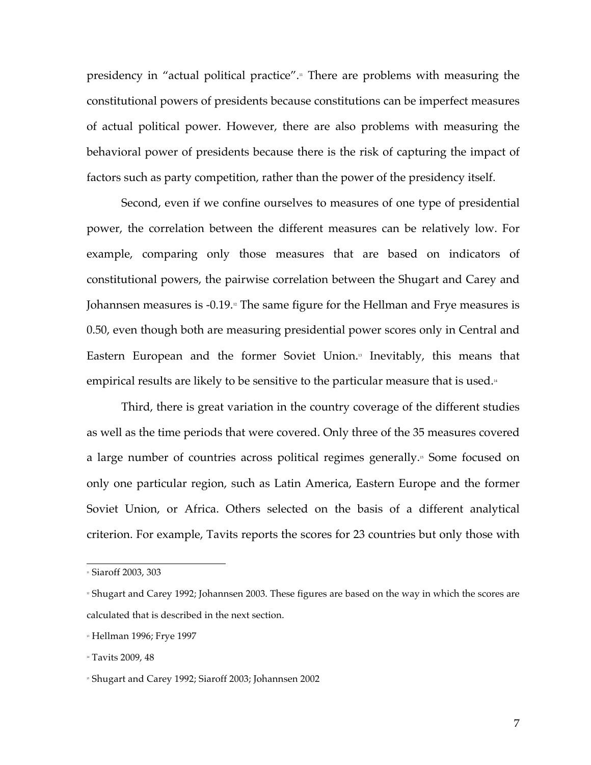presidency in "actual political practice".<sub>"</sub> There are problems with measuring the constitutional powers of presidents because constitutions can be imperfect measures of actual political power. However, there are also problems with measuring the behavioral power of presidents because there is the risk of capturing the impact of factors such as party competition, rather than the power of the presidency itself.

Second, even if we confine ourselves to measures of one type of presidential power, the correlation between the different measures can be relatively low. For example, comparing only those measures that are based on indicators of constitutional powers, the pairwise correlation between the Shugart and Carey and Johannsen measures is -0.19.¤ The same figure for the Hellman and Frye measures is 0.50, even though both are measuring presidential power scores only in Central and Eastern European and the former Soviet Union.<sup>3</sup> Inevitably, this means that empirical results are likely to be sensitive to the particular measure that is used.<sub>"</sub>

Third, there is great variation in the country coverage of the different studies as well as the time periods that were covered. Only three of the 35 measures covered a large number of countries across political regimes generally. <sup>15</sup> Some focused on only one particular region, such as Latin America, Eastern Europe and the former Soviet Union, or Africa. Others selected on the basis of a different analytical criterion. For example, Tavits reports the scores for 23 countries but only those with

<sup>&</sup>lt;sup>11</sup> Siaroff 2003, 303

<sup>12</sup> Shugart and Carey 1992; Johannsen 2003. These figures are based on the way in which the scores are calculated that is described in the next section.

<sup>&</sup>lt;sup>13</sup> Hellman 1996; Frye 1997

<sup>&</sup>lt;sup>14</sup> Tavits 2009, 48

<sup>15</sup> Shugart and Carey 1992; Siaroff 2003; Johannsen 2002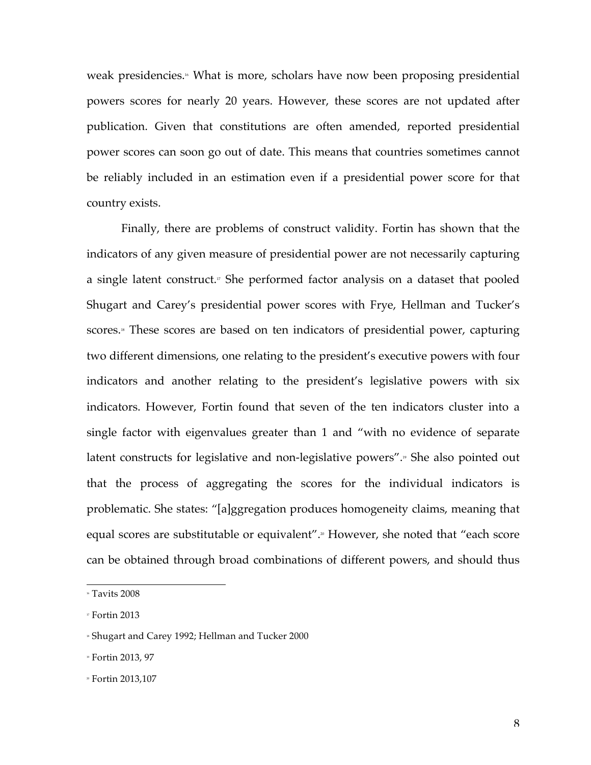weak presidencies. <sup>16</sup> What is more, scholars have now been proposing presidential powers scores for nearly 20 years. However, these scores are not updated after publication. Given that constitutions are often amended, reported presidential power scores can soon go out of date. This means that countries sometimes cannot be reliably included in an estimation even if a presidential power score for that country exists.

Finally, there are problems of construct validity. Fortin has shown that the indicators of any given measure of presidential power are not necessarily capturing a single latent construct.<sub>"</sub> She performed factor analysis on a dataset that pooled Shugart and Carey's presidential power scores with Frye, Hellman and Tucker's scores.<sub>"</sub> These scores are based on ten indicators of presidential power, capturing two different dimensions, one relating to the president's executive powers with four indicators and another relating to the president's legislative powers with six indicators. However, Fortin found that seven of the ten indicators cluster into a single factor with eigenvalues greater than 1 and "with no evidence of separate latent constructs for legislative and non-legislative powers". <sup>19</sup> She also pointed out that the process of aggregating the scores for the individual indicators is problematic. She states: "[a]ggregation produces homogeneity claims, meaning that equal scores are substitutable or equivalent". <sup>20</sup> However, she noted that "each score can be obtained through broad combinations of different powers, and should thus

 $\cdot$  Tavits 2008

 $\overline{v}$  Fortin 2013

<sup>18</sup> Shugart and Carey 1992; Hellman and Tucker 2000

<sup>19</sup> Fortin 2013, 97

<sup>20</sup> Fortin 2013,107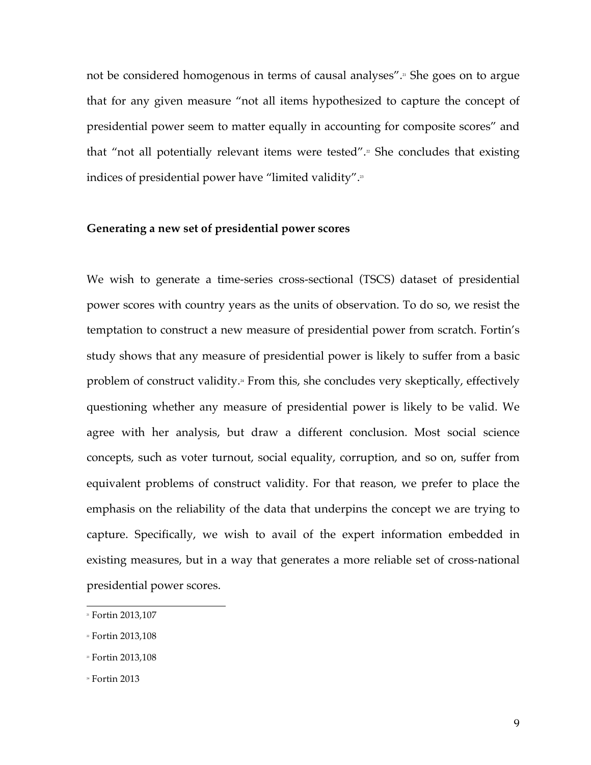not be considered homogenous in terms of causal analyses". <sup>21</sup> She goes on to argue that for any given measure "not all items hypothesized to capture the concept of presidential power seem to matter equally in accounting for composite scores" and that "not all potentially relevant items were tested". <sup>22</sup> She concludes that existing indices of presidential power have "limited validity".<del>"</del>

#### **Generating a new set of presidential power scores**

We wish to generate a time-series cross-sectional (TSCS) dataset of presidential power scores with country years as the units of observation. To do so, we resist the temptation to construct a new measure of presidential power from scratch. Fortin's study shows that any measure of presidential power is likely to suffer from a basic problem of construct validity.<sup>"</sup> From this, she concludes very skeptically, effectively questioning whether any measure of presidential power is likely to be valid. We agree with her analysis, but draw a different conclusion. Most social science concepts, such as voter turnout, social equality, corruption, and so on, suffer from equivalent problems of construct validity. For that reason, we prefer to place the emphasis on the reliability of the data that underpins the concept we are trying to capture. Specifically, we wish to avail of the expert information embedded in existing measures, but in a way that generates a more reliable set of cross-national presidential power scores.

<sup>&</sup>lt;sup>21</sup> Fortin 2013,107

 $2$  Fortin 2013,108

<sup>&</sup>lt;sup>23</sup> Fortin 2013,108

 $*$  Fortin 2013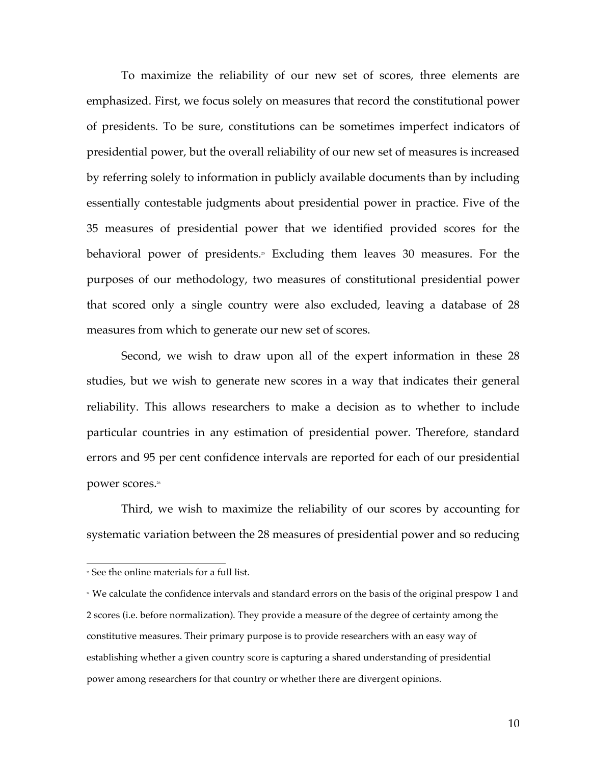To maximize the reliability of our new set of scores, three elements are emphasized. First, we focus solely on measures that record the constitutional power of presidents. To be sure, constitutions can be sometimes imperfect indicators of presidential power, but the overall reliability of our new set of measures is increased by referring solely to information in publicly available documents than by including essentially contestable judgments about presidential power in practice. Five of the 35 measures of presidential power that we identified provided scores for the behavioral power of presidents. <sup>25</sup> Excluding them leaves 30 measures. For the purposes of our methodology, two measures of constitutional presidential power that scored only a single country were also excluded, leaving a database of 28 measures from which to generate our new set of scores.

Second, we wish to draw upon all of the expert information in these 28 studies, but we wish to generate new scores in a way that indicates their general reliability. This allows researchers to make a decision as to whether to include particular countries in any estimation of presidential power. Therefore, standard errors and 95 per cent confidence intervals are reported for each of our presidential power scores. 26

Third, we wish to maximize the reliability of our scores by accounting for systematic variation between the 28 measures of presidential power and so reducing

 <sup>25</sup> See the online materials for a full list.

<sup>26</sup> We calculate the confidence intervals and standard errors on the basis of the original prespow 1 and 2 scores (i.e. before normalization). They provide a measure of the degree of certainty among the constitutive measures. Their primary purpose is to provide researchers with an easy way of establishing whether a given country score is capturing a shared understanding of presidential power among researchers for that country or whether there are divergent opinions.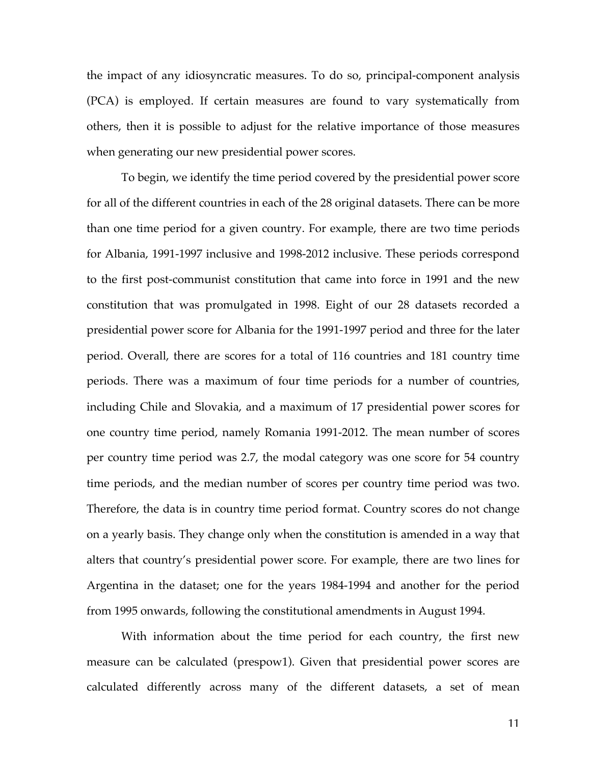the impact of any idiosyncratic measures. To do so, principal-component analysis (PCA) is employed. If certain measures are found to vary systematically from others, then it is possible to adjust for the relative importance of those measures when generating our new presidential power scores.

To begin, we identify the time period covered by the presidential power score for all of the different countries in each of the 28 original datasets. There can be more than one time period for a given country. For example, there are two time periods for Albania, 1991-1997 inclusive and 1998-2012 inclusive. These periods correspond to the first post-communist constitution that came into force in 1991 and the new constitution that was promulgated in 1998. Eight of our 28 datasets recorded a presidential power score for Albania for the 1991-1997 period and three for the later period. Overall, there are scores for a total of 116 countries and 181 country time periods. There was a maximum of four time periods for a number of countries, including Chile and Slovakia, and a maximum of 17 presidential power scores for one country time period, namely Romania 1991-2012. The mean number of scores per country time period was 2.7, the modal category was one score for 54 country time periods, and the median number of scores per country time period was two. Therefore, the data is in country time period format. Country scores do not change on a yearly basis. They change only when the constitution is amended in a way that alters that country's presidential power score. For example, there are two lines for Argentina in the dataset; one for the years 1984-1994 and another for the period from 1995 onwards, following the constitutional amendments in August 1994.

With information about the time period for each country, the first new measure can be calculated (prespow1). Given that presidential power scores are calculated differently across many of the different datasets, a set of mean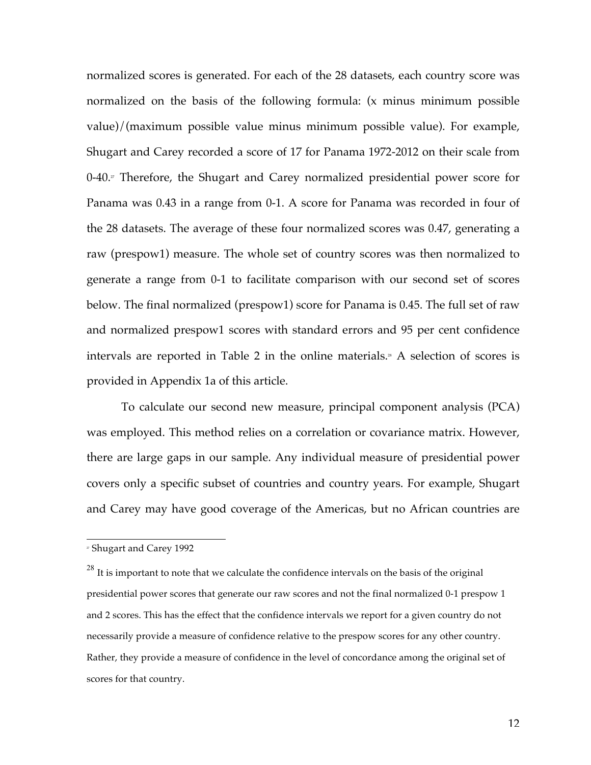normalized scores is generated. For each of the 28 datasets, each country score was normalized on the basis of the following formula: (x minus minimum possible value)/(maximum possible value minus minimum possible value). For example, Shugart and Carey recorded a score of 17 for Panama 1972-2012 on their scale from 0-40.<sup>*r*</sup> Therefore, the Shugart and Carey normalized presidential power score for Panama was 0.43 in a range from 0-1. A score for Panama was recorded in four of the 28 datasets. The average of these four normalized scores was 0.47, generating a raw (prespow1) measure. The whole set of country scores was then normalized to generate a range from 0-1 to facilitate comparison with our second set of scores below. The final normalized (prespow1) score for Panama is 0.45. The full set of raw and normalized prespow1 scores with standard errors and 95 per cent confidence intervals are reported in Table 2 in the online materials.<sup>\*</sup> A selection of scores is provided in Appendix 1a of this article.

To calculate our second new measure, principal component analysis (PCA) was employed. This method relies on a correlation or covariance matrix. However, there are large gaps in our sample. Any individual measure of presidential power covers only a specific subset of countries and country years. For example, Shugart and Carey may have good coverage of the Americas, but no African countries are

 <sup>27</sup> Shugart and Carey 1992

 $^{28}$  It is important to note that we calculate the confidence intervals on the basis of the original presidential power scores that generate our raw scores and not the final normalized 0-1 prespow 1 and 2 scores. This has the effect that the confidence intervals we report for a given country do not necessarily provide a measure of confidence relative to the prespow scores for any other country. Rather, they provide a measure of confidence in the level of concordance among the original set of scores for that country.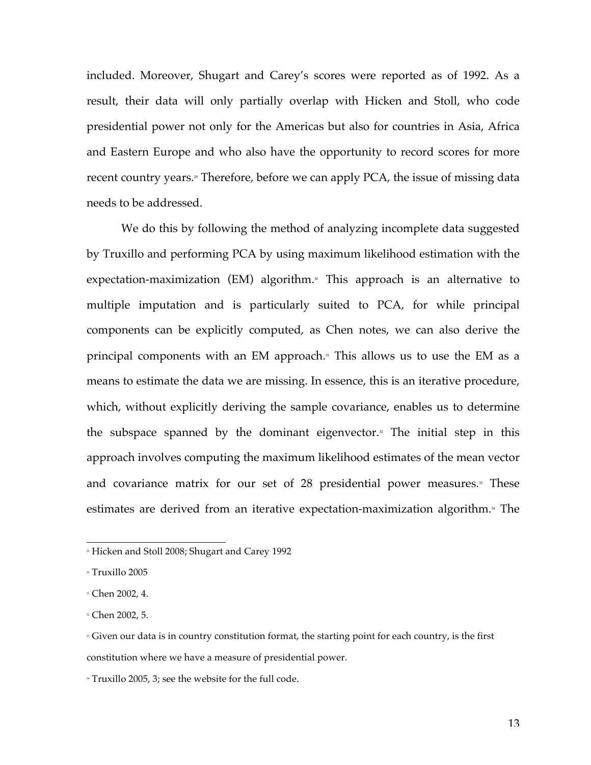included. Moreover, Shugart and Carey's scores were reported as of 1992. As a result, their data will only partially overlap with Hicken and Stoll, who code presidential power not only for the Americas but also for countries in Asia, Africa and Eastern Europe and who also have the opportunity to record scores for more recent country years.» Therefore, before we can apply PCA, the issue of missing data needs to be addressed.

We do this by following the method of analyzing incomplete data suggested by Truxillo and performing PCA by using maximum likelihood estimation with the expectation-maximization (EM) algorithm. <sup>30</sup> This approach is an alternative to multiple imputation and is particularly suited to PCA, for while principal components can be explicitly computed, as Chen notes, we can also derive the principal components with an EM approach. <sup>31</sup> This allows us to use the EM as a means to estimate the data we are missing. In essence, this is an iterative procedure, which, without explicitly deriving the sample covariance, enables us to determine the subspace spanned by the dominant eigenvector.<sup> $\alpha$ </sup> The initial step in this approach involves computing the maximum likelihood estimates of the mean vector and covariance matrix for our set of 28 presidential power measures.<sup>33</sup> These estimates are derived from an iterative expectation-maximization algorithm.<sub>\*</sub> The

<sup>34</sup> Truxillo 2005, 3; see the website for the full code.

<sup>»</sup> Hicken and Stoll 2008; Shugart and Carey 1992

<sup>30</sup> Truxillo 2005

<sup>31</sup> Chen 2002, 4.

<sup>32</sup> Chen 2002, 5.

<sup>»</sup> Given our data is in country constitution format, the starting point for each country, is the first constitution where we have a measure of presidential power.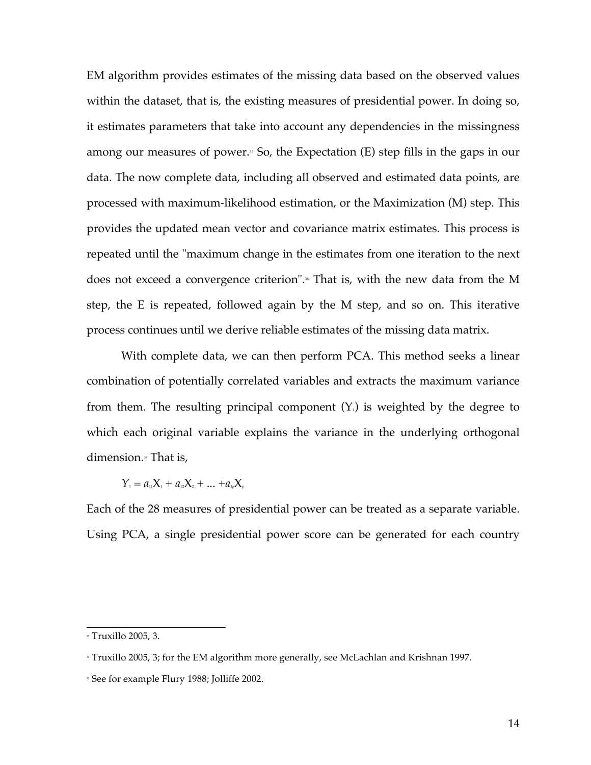EM algorithm provides estimates of the missing data based on the observed values within the dataset, that is, the existing measures of presidential power. In doing so, it estimates parameters that take into account any dependencies in the missingness among our measures of power.<sup>"</sup> So, the Expectation (E) step fills in the gaps in our data. The now complete data, including all observed and estimated data points, are processed with maximum-likelihood estimation, or the Maximization (M) step. This provides the updated mean vector and covariance matrix estimates. This process is repeated until the "maximum change in the estimates from one iteration to the next does not exceed a convergence criterion".<sup>®</sup> That is, with the new data from the M step, the E is repeated, followed again by the M step, and so on. This iterative process continues until we derive reliable estimates of the missing data matrix.

With complete data, we can then perform PCA. This method seeks a linear combination of potentially correlated variables and extracts the maximum variance from them. The resulting principal component  $(Y_1)$  is weighted by the degree to which each original variable explains the variance in the underlying orthogonal dimension.<sup>*n*</sup> That is,

 $Y_1 = a_{11}X_1 + a_{12}X_2 + \ldots + a_{1p}X_p$ 

Each of the 28 measures of presidential power can be treated as a separate variable. Using PCA, a single presidential power score can be generated for each country

 <sup>35</sup> Truxillo 2005, 3.

<sup>36</sup> Truxillo 2005, 3; for the EM algorithm more generally, see McLachlan and Krishnan 1997.

<sup>37</sup> See for example Flury 1988; Jolliffe 2002.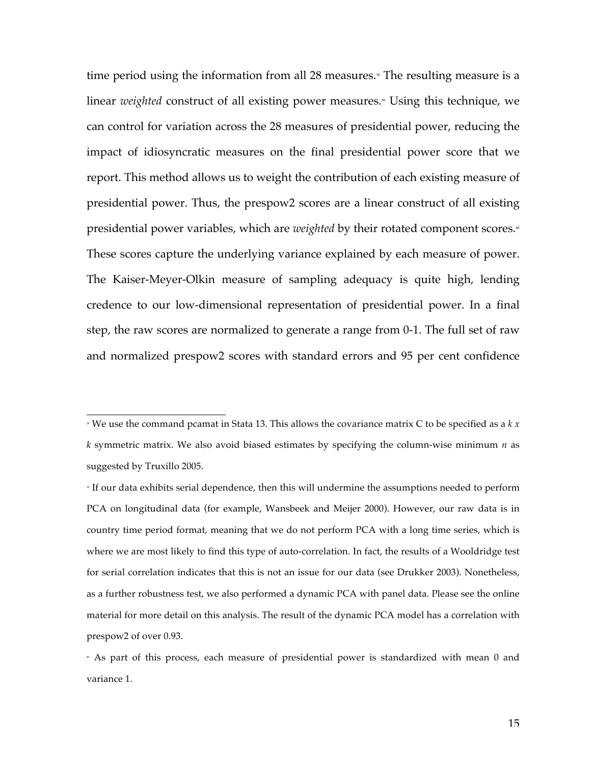time period using the information from all 28 measures.<sup>»</sup> The resulting measure is a linear *weighted* construct of all existing power measures.<sup>»</sup> Using this technique, we can control for variation across the 28 measures of presidential power, reducing the impact of idiosyncratic measures on the final presidential power score that we report. This method allows us to weight the contribution of each existing measure of presidential power. Thus, the prespow2 scores are a linear construct of all existing presidential power variables, which are *weighted* by their rotated component scores.<sup>®</sup> These scores capture the underlying variance explained by each measure of power. The Kaiser-Meyer-Olkin measure of sampling adequacy is quite high, lending credence to our low-dimensional representation of presidential power. In a final step, the raw scores are normalized to generate a range from 0-1. The full set of raw and normalized prespow2 scores with standard errors and 95 per cent confidence

 $\overline{\phantom{a}}$  We use the command pcamat in Stata 13. This allows the covariance matrix C to be specified as a  $k x$ *k* symmetric matrix. We also avoid biased estimates by specifying the column-wise minimum *n* as suggested by Truxillo 2005.

<sup>39</sup> If our data exhibits serial dependence, then this will undermine the assumptions needed to perform PCA on longitudinal data (for example, Wansbeek and Meijer 2000). However, our raw data is in country time period format, meaning that we do not perform PCA with a long time series, which is where we are most likely to find this type of auto-correlation. In fact, the results of a Wooldridge test for serial correlation indicates that this is not an issue for our data (see Drukker 2003). Nonetheless, as a further robustness test, we also performed a dynamic PCA with panel data. Please see the online material for more detail on this analysis. The result of the dynamic PCA model has a correlation with prespow2 of over 0.93.

<sup>40</sup> As part of this process, each measure of presidential power is standardized with mean 0 and variance 1.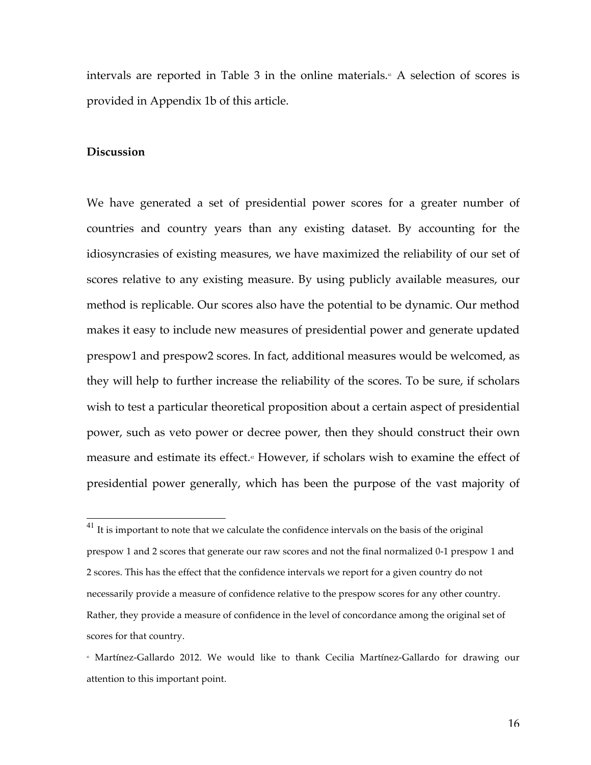intervals are reported in Table 3 in the online materials.<sup>41</sup> A selection of scores is provided in Appendix 1b of this article.

## **Discussion**

We have generated a set of presidential power scores for a greater number of countries and country years than any existing dataset. By accounting for the idiosyncrasies of existing measures, we have maximized the reliability of our set of scores relative to any existing measure. By using publicly available measures, our method is replicable. Our scores also have the potential to be dynamic. Our method makes it easy to include new measures of presidential power and generate updated prespow1 and prespow2 scores. In fact, additional measures would be welcomed, as they will help to further increase the reliability of the scores. To be sure, if scholars wish to test a particular theoretical proposition about a certain aspect of presidential power, such as veto power or decree power, then they should construct their own measure and estimate its effect.<sup>42</sup> However, if scholars wish to examine the effect of presidential power generally, which has been the purpose of the vast majority of

 $^{\rm 41}$  It is important to note that we calculate the confidence intervals on the basis of the original prespow 1 and 2 scores that generate our raw scores and not the final normalized 0-1 prespow 1 and 2 scores. This has the effect that the confidence intervals we report for a given country do not necessarily provide a measure of confidence relative to the prespow scores for any other country. Rather, they provide a measure of confidence in the level of concordance among the original set of scores for that country.

<sup>42</sup> Martínez-Gallardo 2012. We would like to thank Cecilia Martínez-Gallardo for drawing our attention to this important point.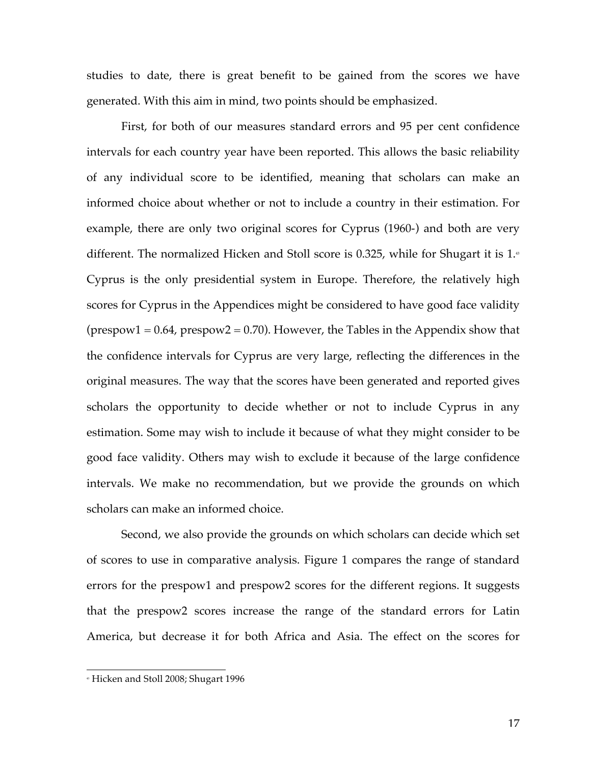studies to date, there is great benefit to be gained from the scores we have generated. With this aim in mind, two points should be emphasized.

First, for both of our measures standard errors and 95 per cent confidence intervals for each country year have been reported. This allows the basic reliability of any individual score to be identified, meaning that scholars can make an informed choice about whether or not to include a country in their estimation. For example, there are only two original scores for Cyprus (1960-) and both are very different. The normalized Hicken and Stoll score is 0.325, while for Shugart it is  $1.43$ Cyprus is the only presidential system in Europe. Therefore, the relatively high scores for Cyprus in the Appendices might be considered to have good face validity  $(p$ respow1 = 0.64, prespow2 = 0.70). However, the Tables in the Appendix show that the confidence intervals for Cyprus are very large, reflecting the differences in the original measures. The way that the scores have been generated and reported gives scholars the opportunity to decide whether or not to include Cyprus in any estimation. Some may wish to include it because of what they might consider to be good face validity. Others may wish to exclude it because of the large confidence intervals. We make no recommendation, but we provide the grounds on which scholars can make an informed choice.

Second, we also provide the grounds on which scholars can decide which set of scores to use in comparative analysis. Figure 1 compares the range of standard errors for the prespow1 and prespow2 scores for the different regions. It suggests that the prespow2 scores increase the range of the standard errors for Latin America, but decrease it for both Africa and Asia. The effect on the scores for

<sup>&</sup>lt;sup>®</sup> Hicken and Stoll 2008; Shugart 1996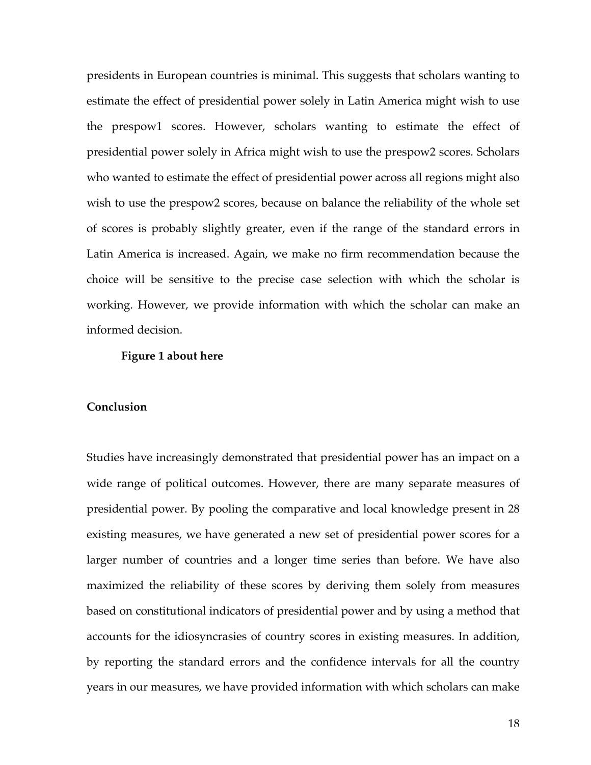presidents in European countries is minimal. This suggests that scholars wanting to estimate the effect of presidential power solely in Latin America might wish to use the prespow1 scores. However, scholars wanting to estimate the effect of presidential power solely in Africa might wish to use the prespow2 scores. Scholars who wanted to estimate the effect of presidential power across all regions might also wish to use the prespow2 scores, because on balance the reliability of the whole set of scores is probably slightly greater, even if the range of the standard errors in Latin America is increased. Again, we make no firm recommendation because the choice will be sensitive to the precise case selection with which the scholar is working. However, we provide information with which the scholar can make an informed decision.

#### **Figure 1 about here**

## **Conclusion**

Studies have increasingly demonstrated that presidential power has an impact on a wide range of political outcomes. However, there are many separate measures of presidential power. By pooling the comparative and local knowledge present in 28 existing measures, we have generated a new set of presidential power scores for a larger number of countries and a longer time series than before. We have also maximized the reliability of these scores by deriving them solely from measures based on constitutional indicators of presidential power and by using a method that accounts for the idiosyncrasies of country scores in existing measures. In addition, by reporting the standard errors and the confidence intervals for all the country years in our measures, we have provided information with which scholars can make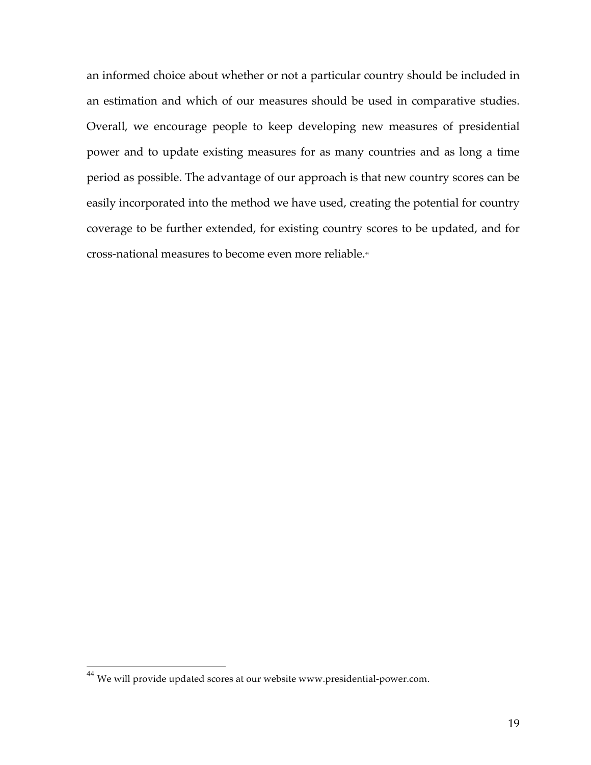an informed choice about whether or not a particular country should be included in an estimation and which of our measures should be used in comparative studies. Overall, we encourage people to keep developing new measures of presidential power and to update existing measures for as many countries and as long a time period as possible. The advantage of our approach is that new country scores can be easily incorporated into the method we have used, creating the potential for country coverage to be further extended, for existing country scores to be updated, and for cross-national measures to become even more reliable. 44

<sup>44</sup> We will provide updated scores at our website www.presidential-power.com.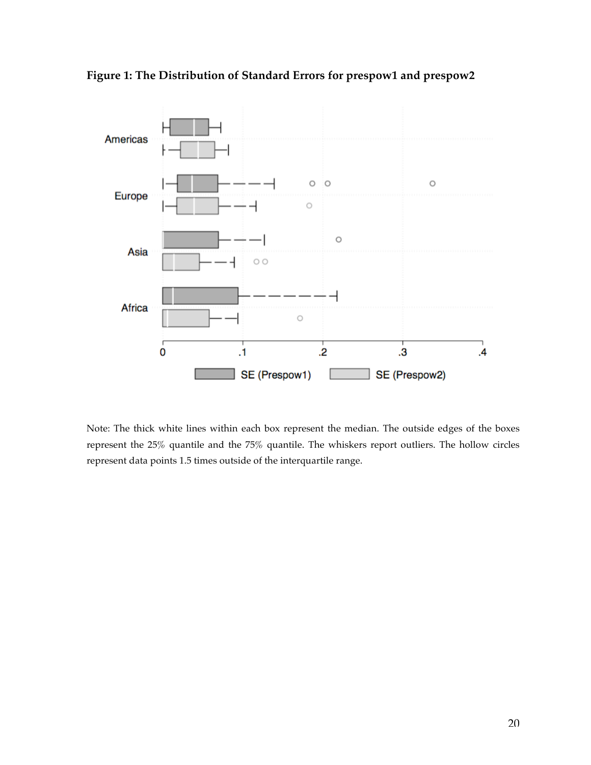



Note: The thick white lines within each box represent the median. The outside edges of the boxes represent the 25% quantile and the 75% quantile. The whiskers report outliers. The hollow circles represent data points 1.5 times outside of the interquartile range.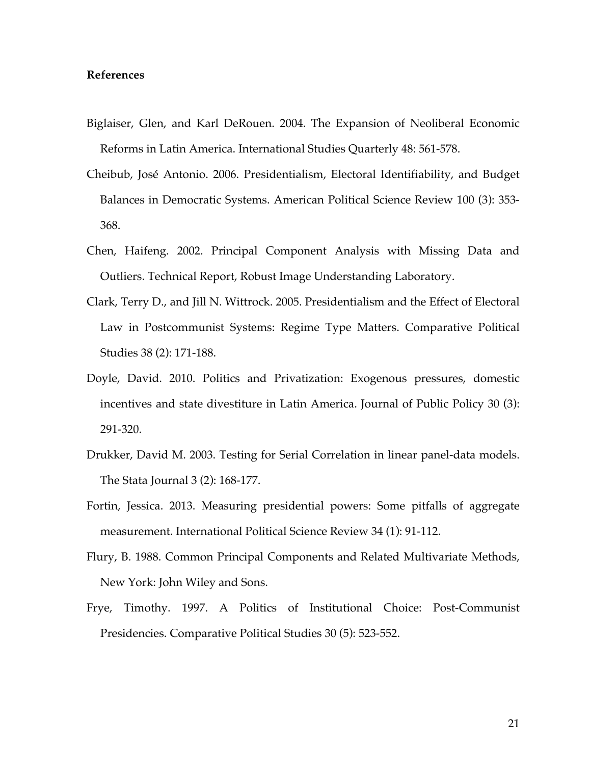## **References**

- Biglaiser, Glen, and Karl DeRouen. 2004. The Expansion of Neoliberal Economic Reforms in Latin America. International Studies Quarterly 48: 561-578.
- Cheibub, José Antonio. 2006. Presidentialism, Electoral Identifiability, and Budget Balances in Democratic Systems. American Political Science Review 100 (3): 353- 368.
- Chen, Haifeng. 2002. Principal Component Analysis with Missing Data and Outliers. Technical Report, Robust Image Understanding Laboratory.
- Clark, Terry D., and Jill N. Wittrock. 2005. Presidentialism and the Effect of Electoral Law in Postcommunist Systems: Regime Type Matters. Comparative Political Studies 38 (2): 171-188.
- Doyle, David. 2010. Politics and Privatization: Exogenous pressures, domestic incentives and state divestiture in Latin America. Journal of Public Policy 30 (3): 291-320.
- Drukker, David M. 2003. Testing for Serial Correlation in linear panel-data models. The Stata Journal 3 (2): 168-177.
- Fortin, Jessica. 2013. Measuring presidential powers: Some pitfalls of aggregate measurement. International Political Science Review 34 (1): 91-112.
- Flury, B. 1988. Common Principal Components and Related Multivariate Methods, New York: John Wiley and Sons.
- Frye, Timothy. 1997. A Politics of Institutional Choice: Post-Communist Presidencies. Comparative Political Studies 30 (5): 523-552.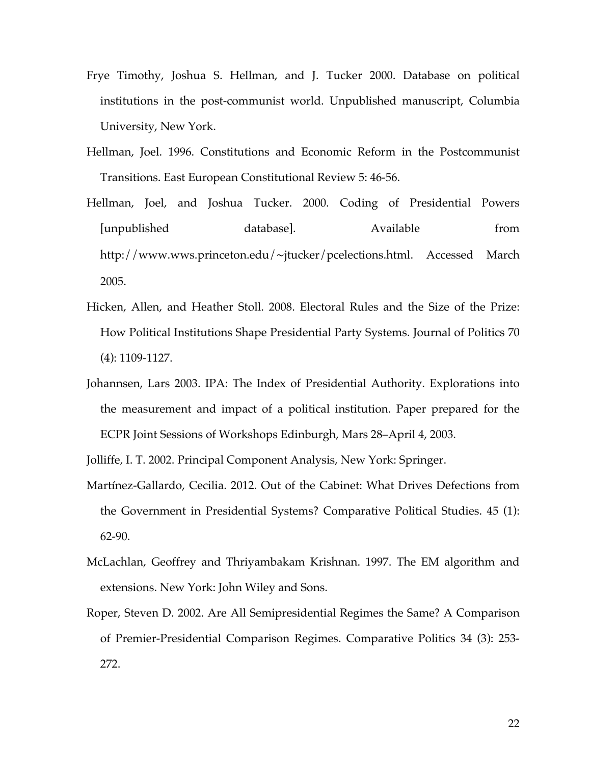- Frye Timothy, Joshua S. Hellman, and J. Tucker 2000. Database on political institutions in the post-communist world. Unpublished manuscript, Columbia University, New York.
- Hellman, Joel. 1996. Constitutions and Economic Reform in the Postcommunist Transitions. East European Constitutional Review 5: 46-56.
- Hellman, Joel, and Joshua Tucker. 2000. Coding of Presidential Powers [unpublished database]. Available from http://www.wws.princeton.edu/∼jtucker/pcelections.html. Accessed March 2005.
- Hicken, Allen, and Heather Stoll. 2008. Electoral Rules and the Size of the Prize: How Political Institutions Shape Presidential Party Systems. Journal of Politics 70 (4): 1109-1127.
- Johannsen, Lars 2003. IPA: The Index of Presidential Authority. Explorations into the measurement and impact of a political institution. Paper prepared for the ECPR Joint Sessions of Workshops Edinburgh, Mars 28–April 4, 2003.

Jolliffe, I. T. 2002. Principal Component Analysis, New York: Springer.

- Martínez-Gallardo, Cecilia. 2012. Out of the Cabinet: What Drives Defections from the Government in Presidential Systems? Comparative Political Studies. 45 (1): 62-90.
- McLachlan, Geoffrey and Thriyambakam Krishnan. 1997. The EM algorithm and extensions. New York: John Wiley and Sons.
- Roper, Steven D. 2002. Are All Semipresidential Regimes the Same? A Comparison of Premier-Presidential Comparison Regimes. Comparative Politics 34 (3): 253- 272.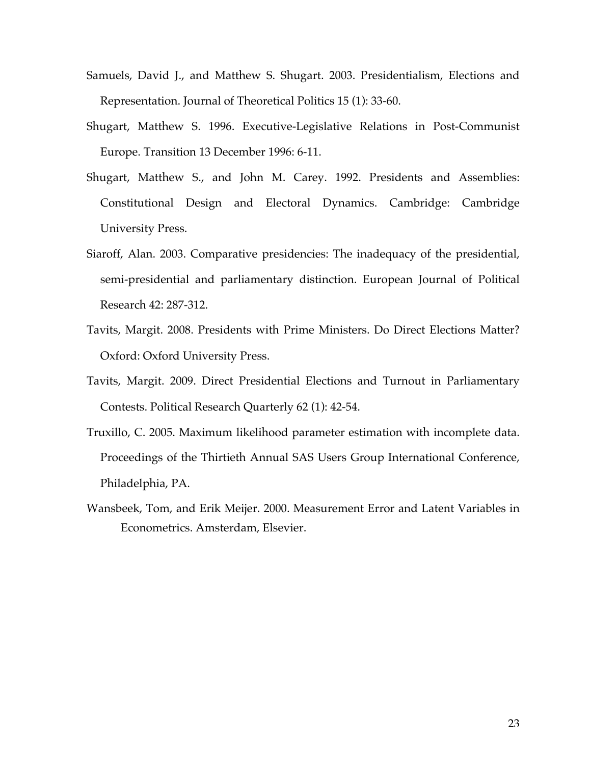- Samuels, David J., and Matthew S. Shugart. 2003. Presidentialism, Elections and Representation. Journal of Theoretical Politics 15 (1): 33-60.
- Shugart, Matthew S. 1996. Executive-Legislative Relations in Post-Communist Europe. Transition 13 December 1996: 6-11.
- Shugart, Matthew S., and John M. Carey. 1992. Presidents and Assemblies: Constitutional Design and Electoral Dynamics. Cambridge: Cambridge University Press.
- Siaroff, Alan. 2003. Comparative presidencies: The inadequacy of the presidential, semi-presidential and parliamentary distinction. European Journal of Political Research 42: 287-312.
- Tavits, Margit. 2008. Presidents with Prime Ministers. Do Direct Elections Matter? Oxford: Oxford University Press.
- Tavits, Margit. 2009. Direct Presidential Elections and Turnout in Parliamentary Contests. Political Research Quarterly 62 (1): 42-54.
- Truxillo, C. 2005. Maximum likelihood parameter estimation with incomplete data. Proceedings of the Thirtieth Annual SAS Users Group International Conference, Philadelphia, PA.
- Wansbeek, Tom, and Erik Meijer. 2000. Measurement Error and Latent Variables in Econometrics. Amsterdam, Elsevier.